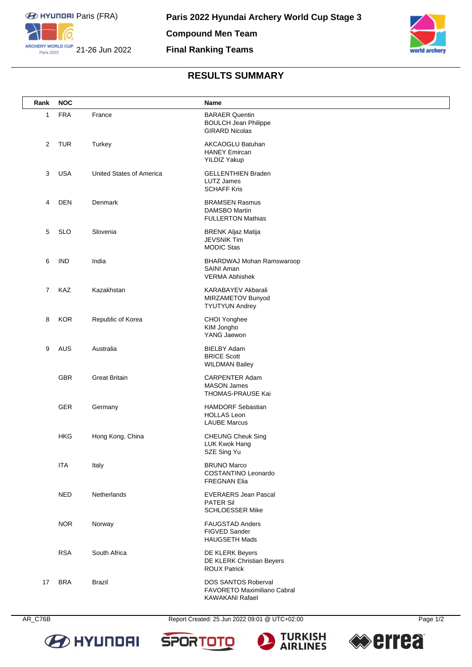



## **RESULTS SUMMARY**

| Rank           | <b>NOC</b> |                                 | Name                                                                          |
|----------------|------------|---------------------------------|-------------------------------------------------------------------------------|
| 1              | <b>FRA</b> | France                          | <b>BARAER Quentin</b><br><b>BOULCH Jean Philippe</b><br><b>GIRARD Nicolas</b> |
| 2              | <b>TUR</b> | Turkey                          | AKCAOGLU Batuhan<br><b>HANEY Emircan</b><br><b>YILDIZ Yakup</b>               |
| 3              | <b>USA</b> | <b>United States of America</b> | <b>GELLENTHIEN Braden</b><br><b>LUTZ James</b><br><b>SCHAFF Kris</b>          |
| 4              | DEN        | Denmark                         | <b>BRAMSEN Rasmus</b><br><b>DAMSBO Martin</b><br><b>FULLERTON Mathias</b>     |
| 5              | <b>SLO</b> | Slovenia                        | <b>BRENK Aljaz Matija</b><br><b>JEVSNIK Tim</b><br><b>MODIC Stas</b>          |
| 6              | <b>IND</b> | India                           | BHARDWAJ Mohan Ramswaroop<br>SAINI Aman<br><b>VERMA Abhishek</b>              |
| $\overline{7}$ | KAZ        | Kazakhstan                      | <b>KARABAYEV Akbarali</b><br>MIRZAMETOV Bunyod<br><b>TYUTYUN Andrey</b>       |
| 8              | <b>KOR</b> | Republic of Korea               | CHOI Yonghee<br>KIM Jongho<br>YANG Jaewon                                     |
| 9              | AUS        | Australia                       | <b>BIELBY Adam</b><br><b>BRICE Scott</b><br><b>WILDMAN Bailey</b>             |
|                | <b>GBR</b> | <b>Great Britain</b>            | <b>CARPENTER Adam</b><br><b>MASON James</b><br>THOMAS-PRAUSE Kai              |
|                | GER        | Germany                         | <b>HAMDORF Sebastian</b><br><b>HOLLAS Leon</b><br><b>LAUBE Marcus</b>         |
|                | <b>HKG</b> | Hong Kong, China                | <b>CHEUNG Cheuk Sing</b><br>LUK Kwok Hang<br>SZE Sing Yu                      |
|                | <b>ITA</b> | Italy                           | <b>BRUNO Marco</b><br>COSTANTINO Leonardo<br><b>FREGNAN Elia</b>              |
|                | <b>NED</b> | Netherlands                     | <b>EVERAERS Jean Pascal</b><br><b>PATER Sil</b><br><b>SCHLOESSER Mike</b>     |
|                | <b>NOR</b> | Norway                          | <b>FAUGSTAD Anders</b><br>FIGVED Sander<br><b>HAUGSETH Mads</b>               |
|                | <b>RSA</b> | South Africa                    | DE KLERK Beyers<br>DE KLERK Christian Beyers<br><b>ROUX Patrick</b>           |
| 17             | <b>BRA</b> | Brazil                          | DOS SANTOS Roberval<br>FAVORETO Maximiliano Cabral<br><b>KAWAKANI Rafael</b>  |



AR\_C76B Report Created: 25 Jun 2022 09:01 @ UTC+02:00